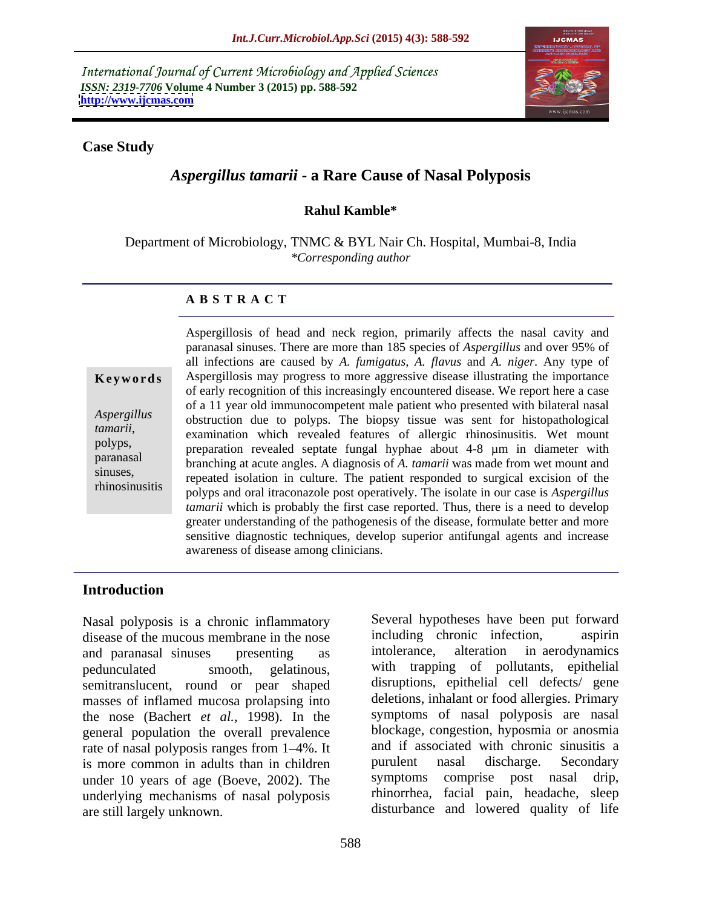International Journal of Current Microbiology and Applied Sciences *ISSN: 2319-7706* **Volume 4 Number 3 (2015) pp. 588-592 <http://www.ijcmas.com>**



### **Case Study**

# *Aspergillus tamarii* **- a Rare Cause of Nasal Polyposis**

# **Rahul Kamble\***

Department of Microbiology, TNMC & BYL Nair Ch. Hospital, Mumbai-8, India *\*Corresponding author*

### **A B S T R A C T**

rhinosinusitis

Aspergillosis of head and neck region, primarily affects the nasal cavity and paranasal sinuses. There are more than 185 species of *Aspergillus* and over95% of all infections are caused by *A. fumigatus, A. flavus* and *A. niger*. Any type of Aspergillosis may progress to more aggressive disease illustrating the importance **Ke ywo rds** of early recognition of this increasingly encountered disease. We report here a case of a 11 year old immunocompetent male patient who presented with bilateral nasal obstruction due to polyps. The biopsy tissue was sent for histopathological *Aspergillus tamarii*,<br>
examination which revealed features of allergic rhinosinusitis. Wet mount<br>
polyps,<br>
preparation revealed sentate funcal hyphae about 4.8 um in diameter with preparation revealed septate fungal hyphae about 4-8 µm in diameter with branching at acute angles. A diagnosis of *A. tamarii* was made from wet mount and paranasal sinuses,<br>repeated isolation in culture. The patient responded to surgical excision of the polyps and oral itraconazole post operatively. The isolate in our case is *Aspergillus tamarii* which is probably the first case reported. Thus, there is a need to develop greater understanding of the pathogenesis of the disease, formulate better and more sensitive diagnostic techniques, develop superior antifungal agents and increase awareness of disease among clinicians.

# **Introduction**

disease of the mucous membrane in the nose including chronic infection, aspirin<br>and paranasal sinuses presenting as intolerance, alteration in aerodynamics and paranasal sinuses presenting as intolerance, alteration in aerodynamics pedunculated smooth, gelatinous, with trapping of pollutants, epithelial semitranslucent, round or pear shaped masses of inflamed mucosa prolapsing into the nose (Bachert *et al.,* 1998). In the general population the overall prevalence rate of nasal polyposis ranges from 1–4%. It and if associated with chronic sinusitis a<br>is more common in adults than in children purulent nasal discharge. Secondary is more common in adults than in children under 10 years of age (Boeve, 2002). The underlying mechanisms of nasal polyposis Nasal polyposis is a chronic inflammatory<br>
disease of the mucous membrane in the nose<br>
including chronic infection, aspirin<br>
and paranasal sinuses presenting as<br>
intolerance, alteration in aerodynamics<br>
pedunculated smoot

Nasal polyposis is a chronic inflammatory<br>disease of the mucous membrane in the nose including chronic infection. aspiring including chronic infection, intolerance, alteration in aerodynamics disruptions, epithelial cell defects/ gene deletions, inhalant or food allergies. Primary symptoms of nasal polyposis are nasal blockage, congestion, hyposmia or anosmia and if associated with chronic sinusitis a purulent nasal discharge. Secondary symptoms comprise post nasal drip, rhinorrhea, facial pain, headache, sleep disturbance and lowered quality of life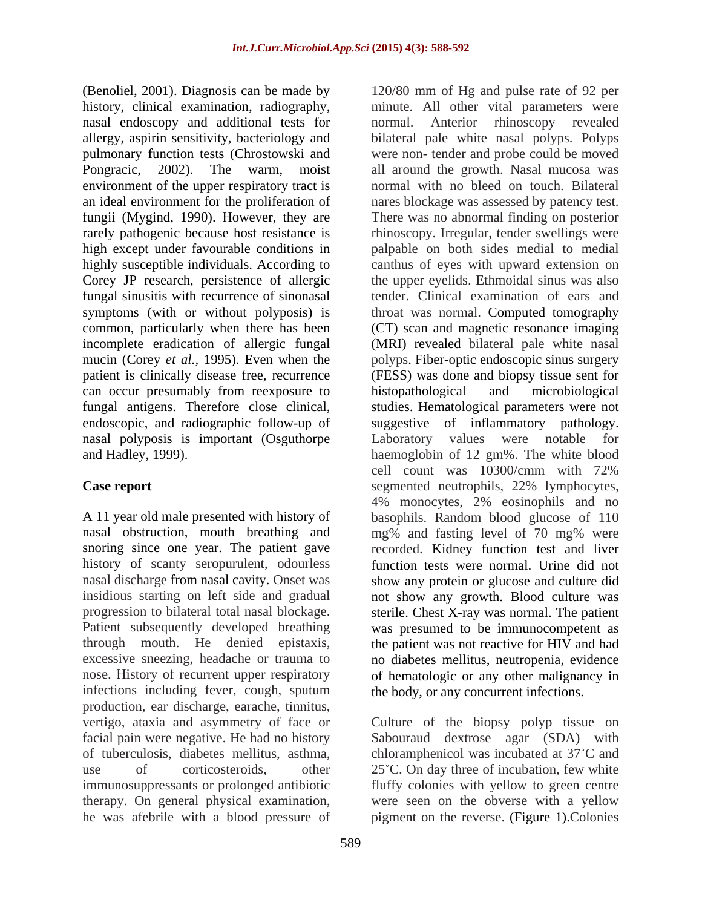(Benoliel, 2001). Diagnosis can be made by 120/80 mm of Hg and pulse rate of 92 per nasal endoscopy and additional tests for normal. Anterior rhinoscopy revealed high except under favourable conditions in fungal sinusitis with recurrence of sinonasal symptoms (with or without polyposis) is common, particularly when there has been can occur presumably from reexposure to histopathological and microbiological nasal polyposis is important (Osguthorpe Laboratory values were notable for

nasal obstruction, mouth breathing and mg% and fasting level of 70 mg% were history of scanty seropurulent, odourless infections including fever, cough, sputum production, ear discharge, earache, tinnitus, vertigo, ataxia and asymmetry of face or Culture of the biopsy polyp tissue on facial pain were negative. He had no history Sabouraud dextrose agar (SDA) with of tuberculosis, diabetes mellitus, asthma, chloramphenicol was incubated at 37 C and use of corticosteroids, other 25°C. On day three of incubation, few white immunosuppressants or prolonged antibiotic fluffy colonies with yellow to green centre therapy. On general physical examination, were seen on the obverse with a yellow

history, clinical examination, radiography, minute. All other vital parameters were allergy, aspirin sensitivity, bacteriology and bilateral pale white nasal polyps. Polyps pulmonary function tests (Chrostowski and were non- tender and probe could be moved Pongracic, 2002). The warm, moist all around the growth. Nasal mucosa was environment of the upper respiratory tract is normal with no bleed on touch. Bilateral an ideal environment for the proliferation of nares blockage was assessed by patency test. fungii (Mygind, 1990). However, they are There was no abnormal finding on posterior rarely pathogenic because host resistance is himoscopy. Irregular, tender swellings were highly susceptible individuals. According to canthus of eyes with upward extension on Corey JP research, persistence of allergic the upper eyelids. Ethmoidal sinus was also incomplete eradication of allergic fungal (MRI) revealed bilateral pale white nasal mucin (Corey *et al.,* 1995). Even when the polyps. Fiber-optic endoscopic sinus surgery patient is clinically disease free, recurrence (FESS) was done and biopsy tissue sent for fungal antigens. Therefore close clinical, studies. Hematological parameters were not endoscopic, and radiographic follow-up of suggestive of inflammatory pathology. and Hadley, 1999). haemoglobin of 12 gm%. The white blood **Case report** segmented neutrophils, 22% lymphocytes, A 11 year old male presented with history of basophils. Random blood glucose of 110 snoring since one year. The patient gave recorded. Kidney function test and liver nasal discharge from nasal cavity. Onset was show any protein or glucose and culture did insidious starting on left side and gradual not show any growth. Blood culture was progression to bilateral total nasal blockage. Sterile. Chest X-ray was normal. The patient Patient subsequently developed breathing was presumed to be immunocompetent as through mouth. He denied epistaxis, the patient was not reactive for HIV and had excessive sneezing, headache or trauma to no diabetes mellitus, neutropenia, evidence nose. History of recurrent upper respiratory of hematologic or any other malignancy in normal. Anterior rhinoscopy revealed palpable on both sides medial to medial tender. Clinical examination of ears and throat was normal. Computed tomography (CT) scan and magnetic resonance imaging histopathological and microbiological Laboratory values were notable for cell count was 10300/cmm with 72% 4% monocytes, 2% eosinophils and no mg% and fasting level of 70 mg% were function tests were normal. Urine did not the body, or any concurrent infections.

he was afebrile with a blood pressure of pigment on the reverse. (Figure 1).Colonies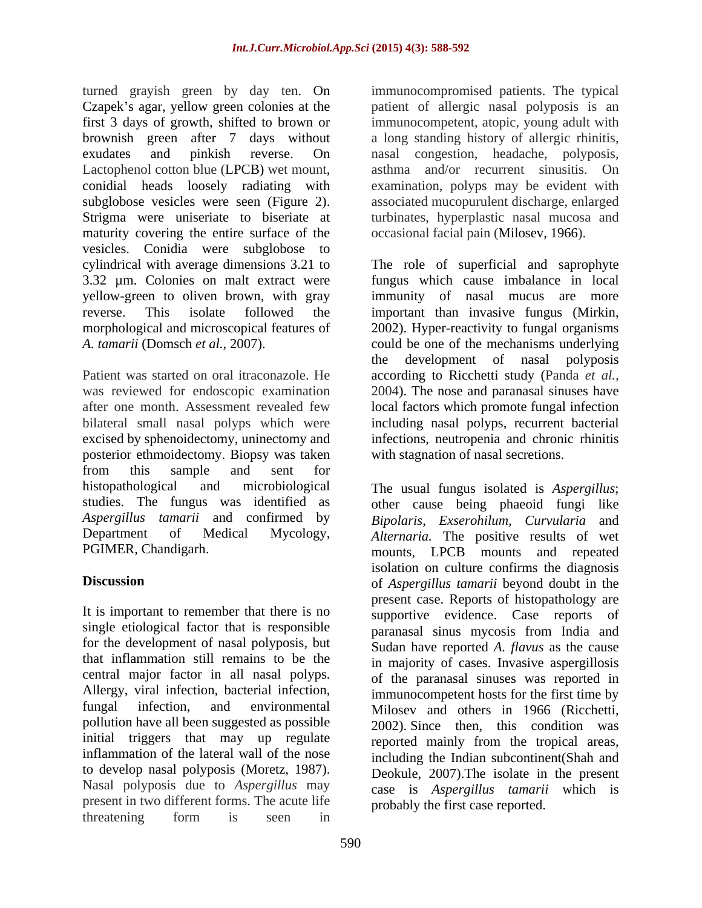turned grayish green by day ten. On immunocompromised patients. The typical Czapek's agar, yellow green colonies at the patient of allergic nasal polyposis is an first 3 days of growth, shifted to brown or immunocompetent, atopic, young adult with brownish green after 7 days without a long standing history of allergic rhinitis, exudates and pinkish reverse. On nasal congestion, headache, polyposis, Lactophenol cotton blue (LPCB) wet mount, asthma and/or recurrent sinusitis. On conidial heads loosely radiating with subglobose vesicles were seen (Figure 2). associated mucopurulent discharge, enlarged Strigma were uniseriate to biseriate at maturity covering the entire surface of the vesicles. Conidia were subglobose to cylindrical with average dimensions 3.21 to The role of superficial and saprophyte 3.32 µm. Colonies on malt extract were fungus which cause imbalance in local yellow-green to oliven brown, with gray immunity of nasal mucus are more reverse. This isolate followed the important than invasive fungus (Mirkin, morphological and microscopical features of 2002). Hyper-reactivity to fungal organisms *A. tamarii* (Domsch *et al.,* 2007). could be one of the mechanisms underlying

Patient was started on oral itraconazole. He according to Ricchetti study (Panda *et al.,* was reviewed for endoscopic examination 2004). The nose and paranasal sinuses have after one month. Assessment revealed few local factors which promote fungal infection bilateral small nasal polyps which were including nasal polyps, recurrent bacterial excised by sphenoidectomy, uninectomy and posterior ethmoidectomy. Biopsy was taken from this sample and sent for histopathological and microbiological The usual fungus isolated is *Aspergillus*;

It is important to remember that there is no single etiological factor that is responsible for the development of nasal polyposis, but central major factor in all nasal polyps. Allergy, viral infection, bacterial infection, initial triggers that may up regulate inflammation of the lateral wall of the nose to develop nasal polyposis (Moretz, 1987). Nasal polyposis due to *Aspergillus* may present in two different forms. The acute life threatening form is seen in the second of the second in the second of the second in the second of the second in the second in the second in the second in the second in the second in the second in the second in the second i

asthma and/or recurrent sinusitis. examination, polyps may be evident with turbinates, hyperplastic nasal mucosa and occasional facial pain (Milosev, 1966).

the development of nasal polyposis infections, neutropenia and chronic rhinitis with stagnation of nasal secretions.

studies. The fungus was identified as other cause being phaeoid fungi like *Aspergillus tamarii* and confirmed by *Bipolaris, Exserohilum, Curvularia* and Department of Medical Mycology, *Alternaria.* The positive results of wet PGIMER, Chandigarh. mounts, LPCB mounts and repeated **Discussion** of *Aspergillus tamarii* beyond doubt in the that inflammation still remains to be the in majority of cases. Invasive aspergillosis fungal infection, and environmental Milosev and others in 1966 (Ricchetti, pollution have all been suggested as possible 2002). Since then, this condition was isolation on culture confirms the diagnosis present case. Reports of histopathology are supportive evidence. Case reports of paranasal sinus mycosis from India and Sudan have reported *A. flavus* as the cause of the paranasal sinuses was reported in immunocompetent hosts for the first time by reported mainly from the tropical areas, including the Indian subcontinent(Shah and Deokule, 2007).The isolate in the present case is *Aspergillus tamarii* which is probably the first case reported.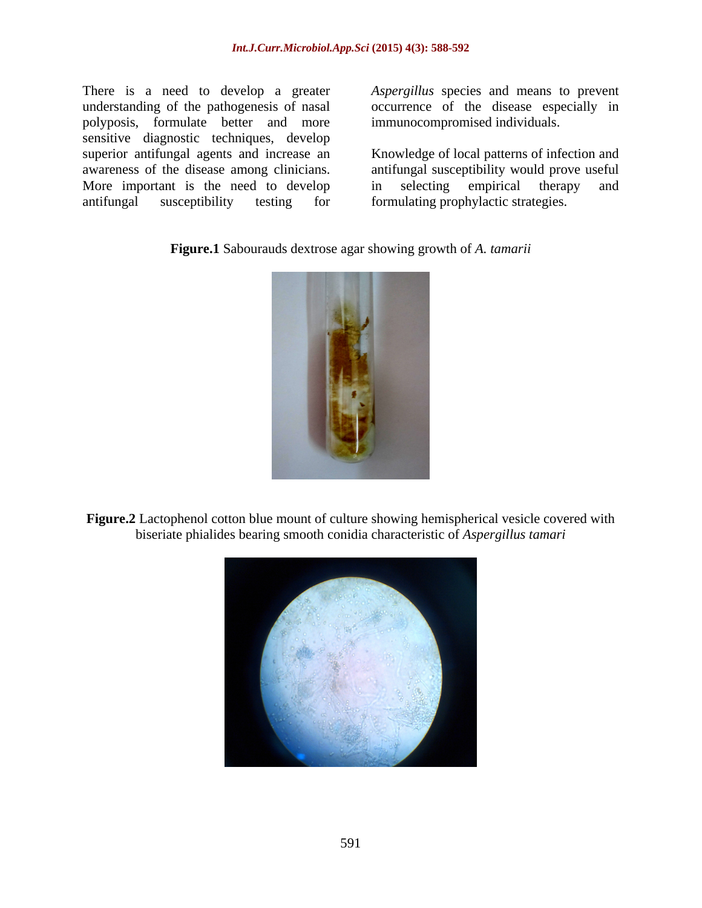There is a need to develop a greater *Aspergillus* species and means to prevent understanding of the pathogenesis of nasal occurrence of the disease especially in polyposis, formulate better and more sensitive diagnostic techniques, develop superior antifungal agents and increase an More important is the need to develop in selecting empirical therapy and antifungal susceptibility testing for formulating prophylactic strategies.

immunocompromised individuals.

awareness of the disease among clinicians. antifungal susceptibility would prove useful Knowledge of local patterns of infection and in selecting empirical therapy and

**Figure.1** Sabourauds dextrose agar showing growth of *A. tamarii*



**Figure.2** Lactophenol cotton blue mount of culture showing hemispherical vesicle covered with biseriate phialides bearing smooth conidia characteristic of *Aspergillus tamari*